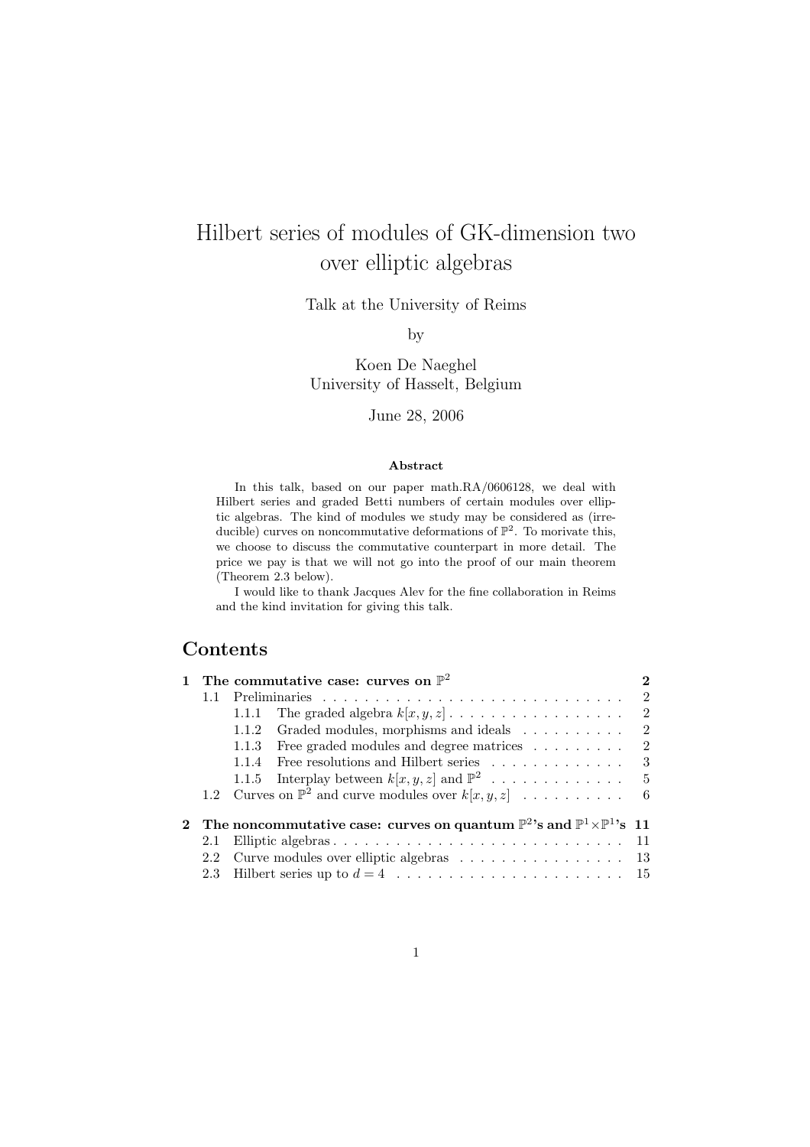# Hilbert series of modules of GK-dimension two over elliptic algebras

Talk at the University of Reims

by

Koen De Naeghel University of Hasselt, Belgium

June 28, 2006

#### Abstract

In this talk, based on our paper math.RA/0606128, we deal with Hilbert series and graded Betti numbers of certain modules over elliptic algebras. The kind of modules we study may be considered as (irreducible) curves on noncommutative deformations of  $\mathbb{P}^2$ . To morivate this, we choose to discuss the commutative counterpart in more detail. The price we pay is that we will not go into the proof of our main theorem (Theorem 2.3 below).

I would like to thank Jacques Alev for the fine collaboration in Reims and the kind invitation for giving this talk.

## Contents

|     | The commutative case: curves on $\mathbb{P}^2$                                                              | 2 |
|-----|-------------------------------------------------------------------------------------------------------------|---|
| 1.1 |                                                                                                             | 2 |
|     | The graded algebra $k[x, y, z] \dots \dots \dots \dots \dots \dots$<br>1.1.1                                | 2 |
|     | Graded modules, morphisms and ideals<br>1.1.2                                                               | 2 |
|     | Free graded modules and degree matrices<br>1.1.3                                                            | 2 |
|     | 1.1.4                                                                                                       |   |
|     |                                                                                                             |   |
|     | 1.2 Curves on $\mathbb{P}^2$ and curve modules over $k[x, y, z]$ 6                                          |   |
|     | 2 The noncommutative case: curves on quantum $\mathbb{P}^2$ 's and $\mathbb{P}^1{\times}\mathbb{P}^1$ 's 11 |   |
| 2.1 |                                                                                                             |   |
|     | 2.2 Curve modules over elliptic algebras 13                                                                 |   |
|     |                                                                                                             |   |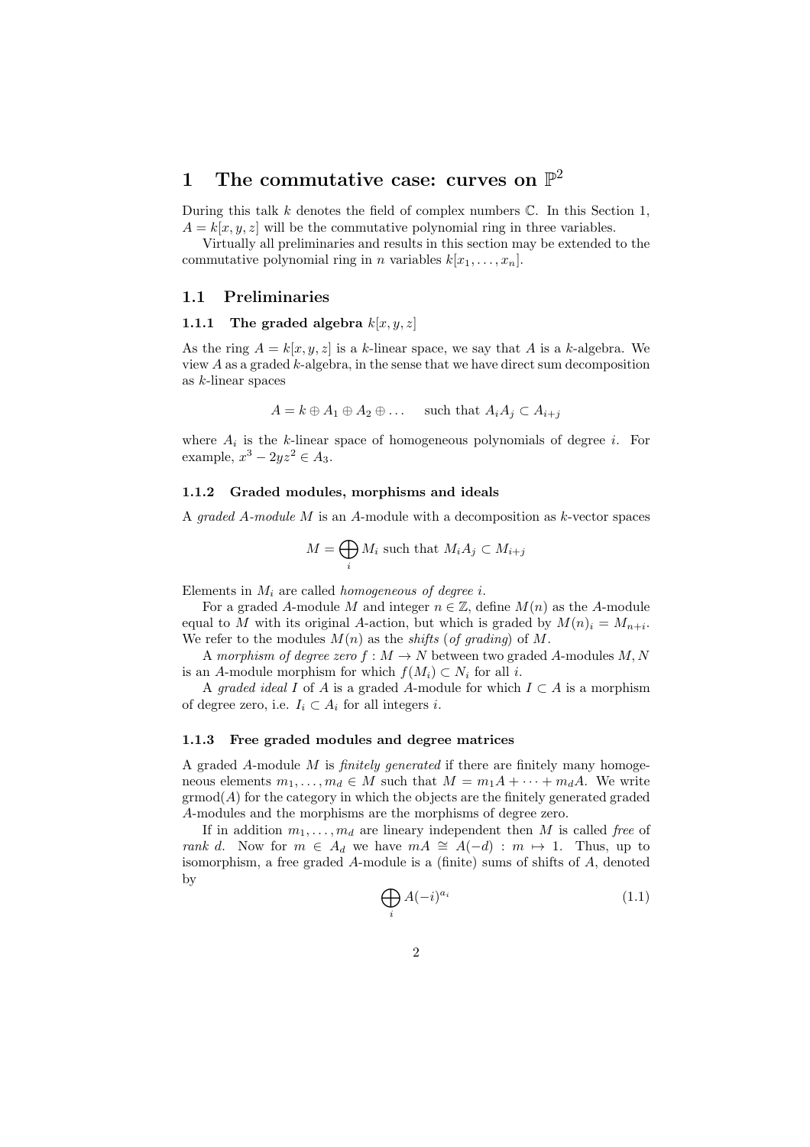# 1 The commutative case: curves on  $\mathbb{P}^2$

During this talk  $k$  denotes the field of complex numbers  $\mathbb C$ . In this Section 1,  $A = k[x, y, z]$  will be the commutative polynomial ring in three variables.

Virtually all preliminaries and results in this section may be extended to the commutative polynomial ring in n variables  $k[x_1, \ldots, x_n]$ .

#### 1.1 Preliminaries

#### 1.1.1 The graded algebra  $k[x, y, z]$

As the ring  $A = k[x, y, z]$  is a k-linear space, we say that A is a k-algebra. We view  $A$  as a graded  $k$ -algebra, in the sense that we have direct sum decomposition as k-linear spaces

$$
A = k \oplus A_1 \oplus A_2 \oplus \dots \quad \text{such that } A_i A_j \subset A_{i+j}
$$

where  $A_i$  is the k-linear space of homogeneous polynomials of degree i. For example,  $x^3 - 2yz^2 \in A_3$ .

#### 1.1.2 Graded modules, morphisms and ideals

A graded A-module  $M$  is an A-module with a decomposition as  $k$ -vector spaces

$$
M = \bigoplus_i M_i \text{ such that } M_i A_j \subset M_{i+j}
$$

Elements in  $M_i$  are called *homogeneous of degree i*.

For a graded A-module M and integer  $n \in \mathbb{Z}$ , define  $M(n)$  as the A-module equal to M with its original A-action, but which is graded by  $M(n)_{i} = M_{n+i}$ . We refer to the modules  $M(n)$  as the *shifts* (of grading) of M.

A morphism of degree zero  $f : M \to N$  between two graded A-modules M, N is an A-module morphism for which  $f(M_i) \subset N_i$  for all i.

A graded ideal I of A is a graded A-module for which  $I \subset A$  is a morphism of degree zero, i.e.  $I_i \subset A_i$  for all integers *i*.

#### 1.1.3 Free graded modules and degree matrices

A graded A-module M is finitely generated if there are finitely many homogeneous elements  $m_1, \ldots, m_d \in M$  such that  $M = m_1A + \cdots + m_dA$ . We write  $\operatorname{grmod}(A)$  for the category in which the objects are the finitely generated graded A-modules and the morphisms are the morphisms of degree zero.

If in addition  $m_1, \ldots, m_d$  are lineary independent then M is called free of rank d. Now for  $m \in A_d$  we have  $mA \cong A(-d) : m \mapsto 1$ . Thus, up to isomorphism, a free graded A-module is a (finite) sums of shifts of A, denoted by

$$
\bigoplus_{i} A(-i)^{a_i} \tag{1.1}
$$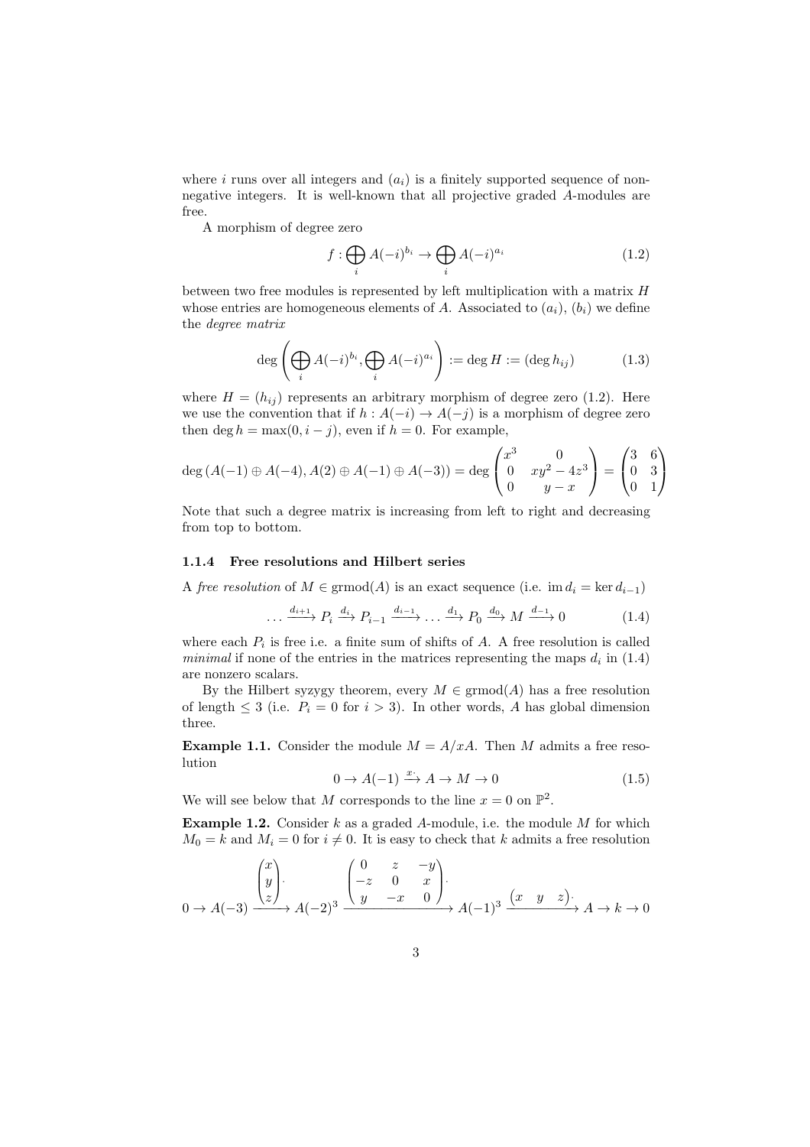where i runs over all integers and  $(a_i)$  is a finitely supported sequence of nonnegative integers. It is well-known that all projective graded A-modules are free.

A morphism of degree zero

$$
f: \bigoplus_{i} A(-i)^{b_i} \to \bigoplus_{i} A(-i)^{a_i} \tag{1.2}
$$

between two free modules is represented by left multiplication with a matrix H whose entries are homogeneous elements of A. Associated to  $(a_i)$ ,  $(b_i)$  we define the degree matrix

$$
\deg\left(\bigoplus_i A(-i)^{b_i}, \bigoplus_i A(-i)^{a_i}\right) := \deg H := (\deg h_{ij})\tag{1.3}
$$

where  $H = (h_{ij})$  represents an arbitrary morphism of degree zero (1.2). Here we use the convention that if  $h : A(-i) \to A(-j)$  is a morphism of degree zero then deg  $h = \max(0, i - j)$ , even if  $h = 0$ . For example,

$$
\deg(A(-1) \oplus A(-4), A(2) \oplus A(-1) \oplus A(-3)) = \deg \begin{pmatrix} x^3 & 0 \\ 0 & xy^2 - 4z^3 \\ 0 & y - x \end{pmatrix} = \begin{pmatrix} 3 & 6 \\ 0 & 3 \\ 0 & 1 \end{pmatrix}
$$

Note that such a degree matrix is increasing from left to right and decreasing from top to bottom.

#### 1.1.4 Free resolutions and Hilbert series

A free resolution of  $M \in \mathrm{grmod}(A)$  is an exact sequence (i.e. im  $d_i = \ker d_{i-1}$ )

$$
\dots \xrightarrow{d_{i+1}} P_i \xrightarrow{d_i} P_{i-1} \xrightarrow{d_{i-1}} \dots \xrightarrow{d_1} P_0 \xrightarrow{d_0} M \xrightarrow{d_{-1}} 0 \tag{1.4}
$$

where each  $P_i$  is free i.e. a finite sum of shifts of  $A$ . A free resolution is called *minimal* if none of the entries in the matrices representing the maps  $d_i$  in (1.4) are nonzero scalars.

By the Hilbert syzygy theorem, every  $M \in \mathrm{grmod}(A)$  has a free resolution of length  $\leq 3$  (i.e.  $P_i = 0$  for  $i > 3$ ). In other words, A has global dimension three.

**Example 1.1.** Consider the module  $M = A/xA$ . Then M admits a free resolution

$$
0 \to A(-1) \xrightarrow{x} A \to M \to 0 \tag{1.5}
$$

We will see below that M corresponds to the line  $x = 0$  on  $\mathbb{P}^2$ .

**Example 1.2.** Consider  $k$  as a graded A-module, i.e. the module  $M$  for which  $M_0 = k$  and  $M_i = 0$  for  $i \neq 0$ . It is easy to check that k admits a free resolution

$$
0 \to A(-3) \xrightarrow{\begin{pmatrix} x \\ y \\ z \end{pmatrix}} A(-2)^3 \xrightarrow{\begin{pmatrix} 0 & z & -y \\ -z & 0 & x \\ y & -x & 0 \end{pmatrix}} A(-1)^3 \xrightarrow{\begin{pmatrix} x & y & z \end{pmatrix}} A \to k \to 0
$$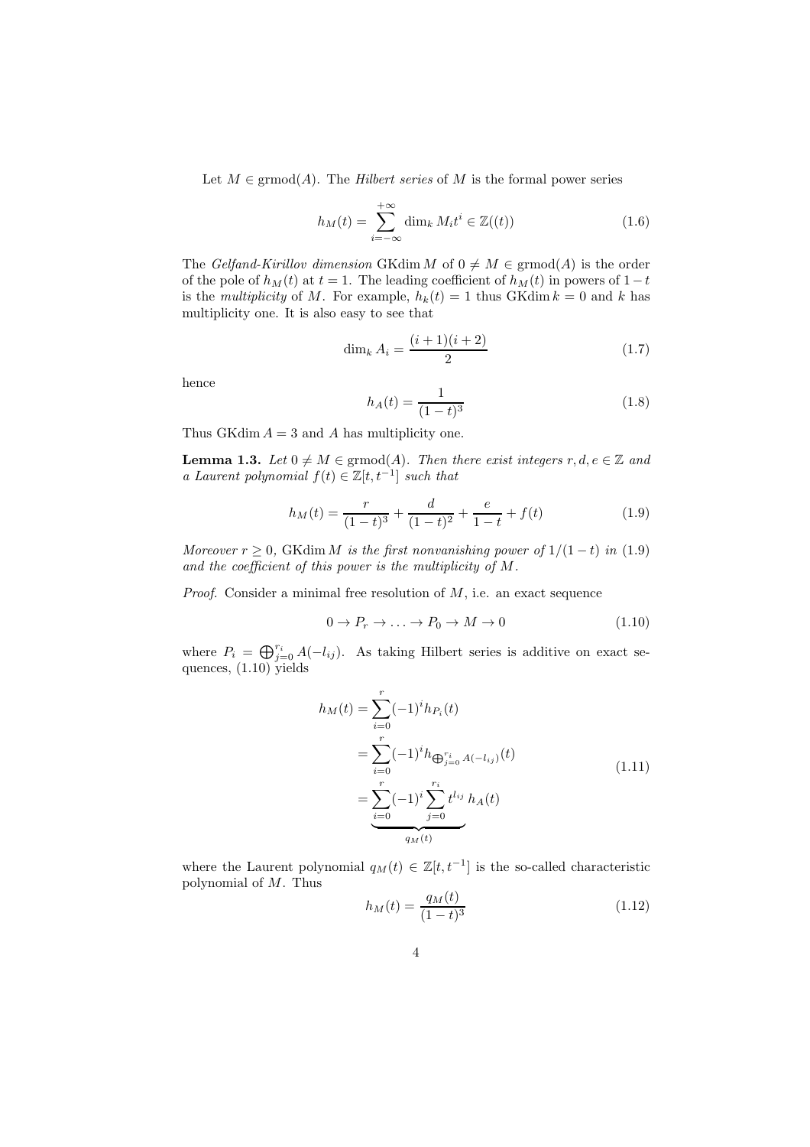Let  $M \in \mathrm{grmod}(A)$ . The *Hilbert series* of M is the formal power series

$$
h_M(t) = \sum_{i=-\infty}^{+\infty} \dim_k M_i t^i \in \mathbb{Z}((t))
$$
\n(1.6)

The Gelfand-Kirillov dimension GKdim M of  $0 \neq M \in \mathrm{grmod}(A)$  is the order of the pole of  $h_M(t)$  at  $t = 1$ . The leading coefficient of  $h_M(t)$  in powers of  $1-t$ is the *multiplicity* of M. For example,  $h_k(t) = 1$  thus GKdim  $k = 0$  and k has multiplicity one. It is also easy to see that

$$
\dim_k A_i = \frac{(i+1)(i+2)}{2} \tag{1.7}
$$

hence

$$
h_A(t) = \frac{1}{(1-t)^3} \tag{1.8}
$$

Thus GKdim  $A = 3$  and A has multiplicity one.

**Lemma 1.3.** Let  $0 \neq M \in \text{grmod}(A)$ . Then there exist integers  $r, d, e \in \mathbb{Z}$  and a Laurent polynomial  $f(t) \in \mathbb{Z}[t, t^{-1}]$  such that

$$
h_M(t) = \frac{r}{(1-t)^3} + \frac{d}{(1-t)^2} + \frac{e}{1-t} + f(t)
$$
\n(1.9)

Moreover  $r \geq 0$ , GKdim M is the first nonvanishing power of  $1/(1-t)$  in (1.9) and the coefficient of this power is the multiplicity of M.

*Proof.* Consider a minimal free resolution of  $M$ , i.e. an exact sequence

$$
0 \to P_r \to \dots \to P_0 \to M \to 0 \tag{1.10}
$$

where  $P_i = \bigoplus_{j=0}^{r_i} A(-l_{ij})$ . As taking Hilbert series is additive on exact sequences,  $(1.10)$  yields

$$
h_M(t) = \sum_{i=0}^r (-1)^i h_{P_i}(t)
$$
  
= 
$$
\sum_{i=0}^r (-1)^i h_{\bigoplus_{j=0}^{r_i} A(-l_{ij})}(t)
$$
  
= 
$$
\sum_{i=0}^r (-1)^i \sum_{j=0}^{r_i} t^{l_{ij}} h_A(t)
$$
 (1.11)

where the Laurent polynomial  $q_M(t) \in \mathbb{Z}[t, t^{-1}]$  is the so-called characteristic polynomial of M. Thus

$$
h_M(t) = \frac{q_M(t)}{(1-t)^3} \tag{1.12}
$$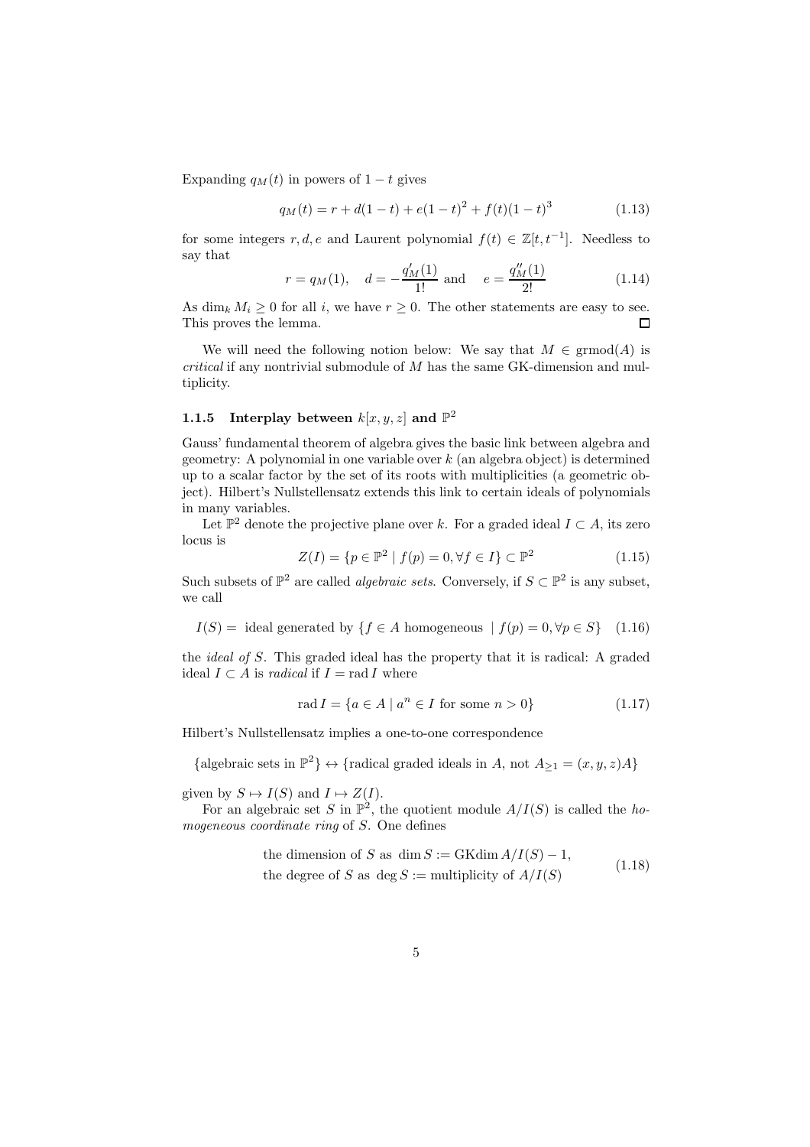Expanding  $q_M(t)$  in powers of  $1-t$  gives

$$
q_M(t) = r + d(1-t) + e(1-t)^2 + f(t)(1-t)^3
$$
\n(1.13)

for some integers r, d, e and Laurent polynomial  $f(t) \in \mathbb{Z}[t, t^{-1}]$ . Needless to say that

$$
r = q_M(1)
$$
,  $d = -\frac{q'_M(1)}{1!}$  and  $e = \frac{q''_M(1)}{2!}$  (1.14)

As dim<sub>k</sub>  $M_i \geq 0$  for all i, we have  $r \geq 0$ . The other statements are easy to see. This proves the lemma. П

We will need the following notion below: We say that  $M \in \mathrm{grmod}(A)$  is  $critical$  if any nontrivial submodule of  $M$  has the same GK-dimension and multiplicity.

### 1.1.5 Interplay between  $k[x, y, z]$  and  $\mathbb{P}^2$

Gauss' fundamental theorem of algebra gives the basic link between algebra and geometry: A polynomial in one variable over  $k$  (an algebra object) is determined up to a scalar factor by the set of its roots with multiplicities (a geometric object). Hilbert's Nullstellensatz extends this link to certain ideals of polynomials in many variables.

Let  $\mathbb{P}^2$  denote the projective plane over k. For a graded ideal  $I \subset A$ , its zero locus is

$$
Z(I) = \{ p \in \mathbb{P}^2 \mid f(p) = 0, \forall f \in I \} \subset \mathbb{P}^2 \tag{1.15}
$$

Such subsets of  $\mathbb{P}^2$  are called *algebraic sets*. Conversely, if  $S \subset \mathbb{P}^2$  is any subset, we call

 $I(S) =$  ideal generated by  $\{f \in A \text{ homogeneous } | f(p) = 0, \forall p \in S\}$  (1.16)

the ideal of S. This graded ideal has the property that it is radical: A graded ideal  $I \subset A$  is *radical* if  $I = \text{rad } I$  where

$$
\operatorname{rad} I = \{ a \in A \mid a^n \in I \text{ for some } n > 0 \}
$$
\n
$$
(1.17)
$$

Hilbert's Nullstellensatz implies a one-to-one correspondence

{algebraic sets in  $\mathbb{P}^2$ }  $\leftrightarrow$  {radical graded ideals in A, not  $A_{\geq 1} = (x, y, z)A$ }

given by  $S \mapsto I(S)$  and  $I \mapsto Z(I)$ .

For an algebraic set S in  $\mathbb{P}^2$ , the quotient module  $A/I(S)$  is called the homogeneous coordinate ring of S. One defines

the dimension of *S* as dim 
$$
S := \text{GKdim } A/I(S) - 1
$$
,  
the degree of *S* as deg  $S := \text{multiplicity of } A/I(S)$  (1.18)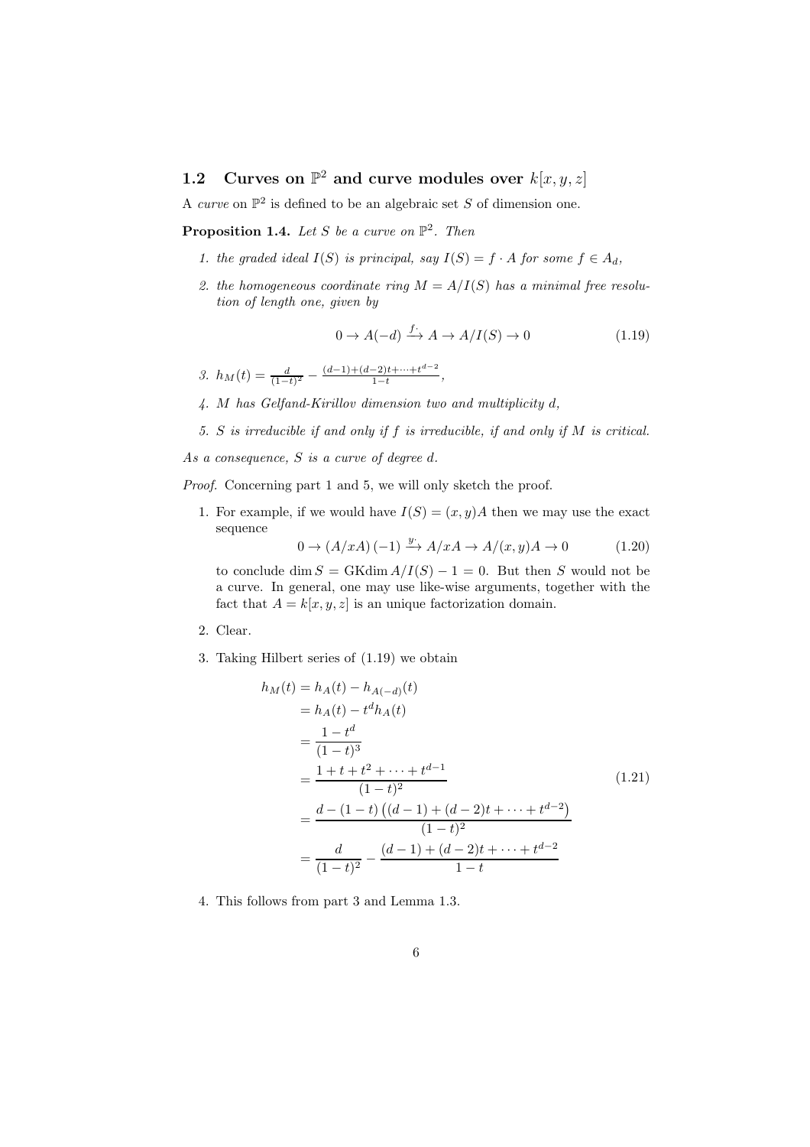## 1.2 Curves on  $\mathbb{P}^2$  and curve modules over  $k[x, y, z]$

A curve on  $\mathbb{P}^2$  is defined to be an algebraic set S of dimension one.

**Proposition 1.4.** Let S be a curve on  $\mathbb{P}^2$ . Then

- 1. the graded ideal  $I(S)$  is principal, say  $I(S) = f \cdot A$  for some  $f \in A_d$ ,
- 2. the homogeneous coordinate ring  $M = A/I(S)$  has a minimal free resolution of length one, given by

$$
0 \to A(-d) \xrightarrow{f^*} A \to A/I(S) \to 0 \tag{1.19}
$$

3.  $h_M(t) = \frac{d}{(1-t)^2} - \frac{(d-1)+(d-2)t+\cdots+t^{d-2}}{1-t}$  $\frac{-2)t+\cdots+t}{1-t},$ 

- 4. M has Gelfand-Kirillov dimension two and multiplicity d,
- 5. S is irreducible if and only if f is irreducible, if and only if M is critical.
- As a consequence, S is a curve of degree d.

Proof. Concerning part 1 and 5, we will only sketch the proof.

1. For example, if we would have  $I(S) = (x, y)A$  then we may use the exact sequence

 $0 \rightarrow (A/xA)(-1) \xrightarrow{y} A/xA \rightarrow A/(x,y)A \rightarrow 0$  (1.20)

to conclude dim  $S = \text{GKdim}\,A/I(S) - 1 = 0$ . But then S would not be a curve. In general, one may use like-wise arguments, together with the fact that  $A = k[x, y, z]$  is an unique factorization domain.

- 2. Clear.
- 3. Taking Hilbert series of (1.19) we obtain

$$
h_M(t) = h_A(t) - h_{A(-d)}(t)
$$
  
=  $h_A(t) - t^d h_A(t)$   
=  $\frac{1 - t^d}{(1 - t)^3}$   
=  $\frac{1 + t + t^2 + \dots + t^{d-1}}{(1 - t)^2}$   
=  $\frac{d - (1 - t) ((d - 1) + (d - 2)t + \dots + t^{d-2})}{(1 - t)^2}$   
=  $\frac{d}{(1 - t)^2} - \frac{(d - 1) + (d - 2)t + \dots + t^{d-2}}{1 - t}$  (1.21)

4. This follows from part 3 and Lemma 1.3.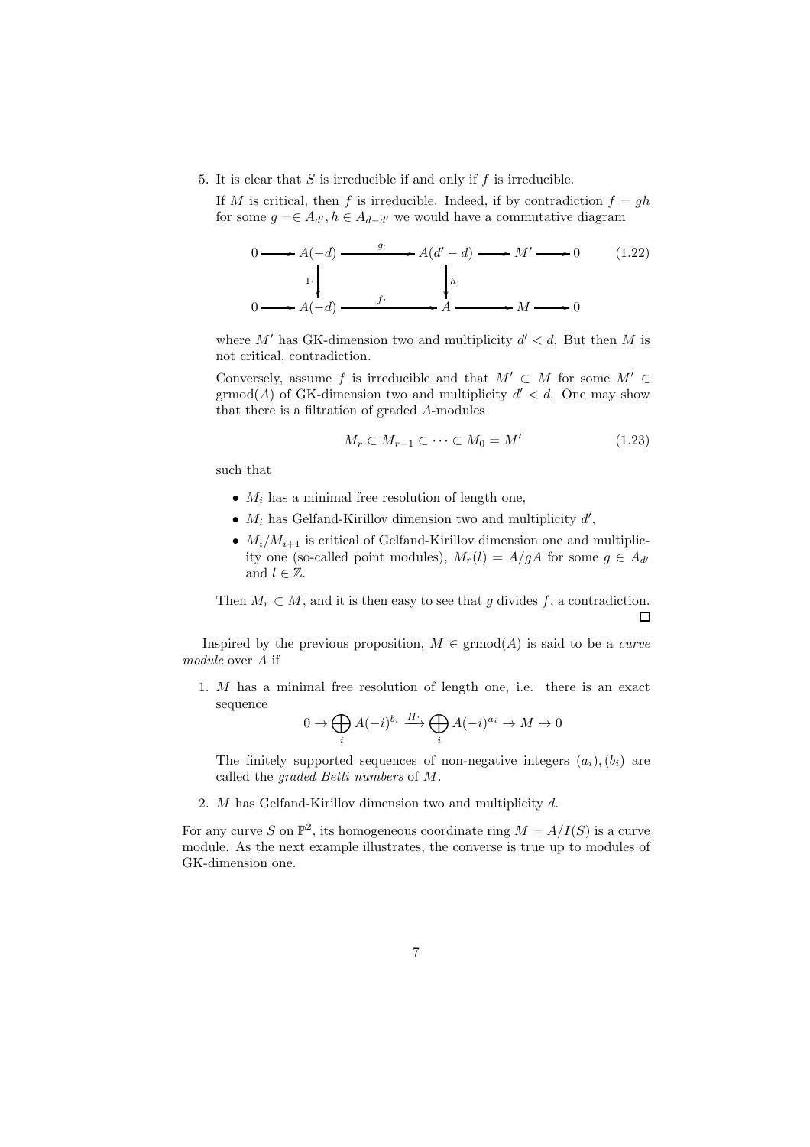5. It is clear that  $S$  is irreducible if and only if  $f$  is irreducible.

If M is critical, then f is irreducible. Indeed, if by contradiction  $f = gh$ for some  $g = \in A_{d'}, h \in A_{d-d'}$  we would have a commutative diagram

$$
0 \longrightarrow A(-d) \longrightarrow A(d'-d) \longrightarrow M' \longrightarrow 0 \qquad (1.22)
$$
  
\n1. 
$$
\downarrow \qquad \qquad \downarrow h.
$$
  
\n
$$
0 \longrightarrow A(-d) \longrightarrow f \qquad \qquad A \longrightarrow M \longrightarrow 0
$$

where  $M'$  has GK-dimension two and multiplicity  $d' < d$ . But then M is not critical, contradiction.

Conversely, assume f is irreducible and that  $M' \subset M$  for some  $M' \in$  $\operatorname{grmod}(A)$  of GK-dimension two and multiplicity  $d' < d$ . One may show that there is a filtration of graded A-modules

$$
M_r \subset M_{r-1} \subset \cdots \subset M_0 = M'
$$
\n(1.23)

such that

- $M_i$  has a minimal free resolution of length one,
- $M_i$  has Gelfand-Kirillov dimension two and multiplicity  $d'$ ,
- $M_i/M_{i+1}$  is critical of Gelfand-Kirillov dimension one and multiplicity one (so-called point modules),  $M_r(l) = A/gA$  for some  $g \in A_{d'}$ and  $l \in \mathbb{Z}$ .

Then  $M_r \subset M$ , and it is then easy to see that g divides f, a contradiction.  $\Box$ 

Inspired by the previous proposition,  $M \in \mathrm{grmod}(A)$  is said to be a *curve* module over A if

1. M has a minimal free resolution of length one, i.e. there is an exact sequence

$$
0 \to \bigoplus_i A(-i)^{b_i} \xrightarrow{H^*} \bigoplus_i A(-i)^{a_i} \to M \to 0
$$

The finitely supported sequences of non-negative integers  $(a_i), (b_i)$  are called the graded Betti numbers of M.

2. M has Gelfand-Kirillov dimension two and multiplicity d.

For any curve S on  $\mathbb{P}^2$ , its homogeneous coordinate ring  $M = A/I(S)$  is a curve module. As the next example illustrates, the converse is true up to modules of GK-dimension one.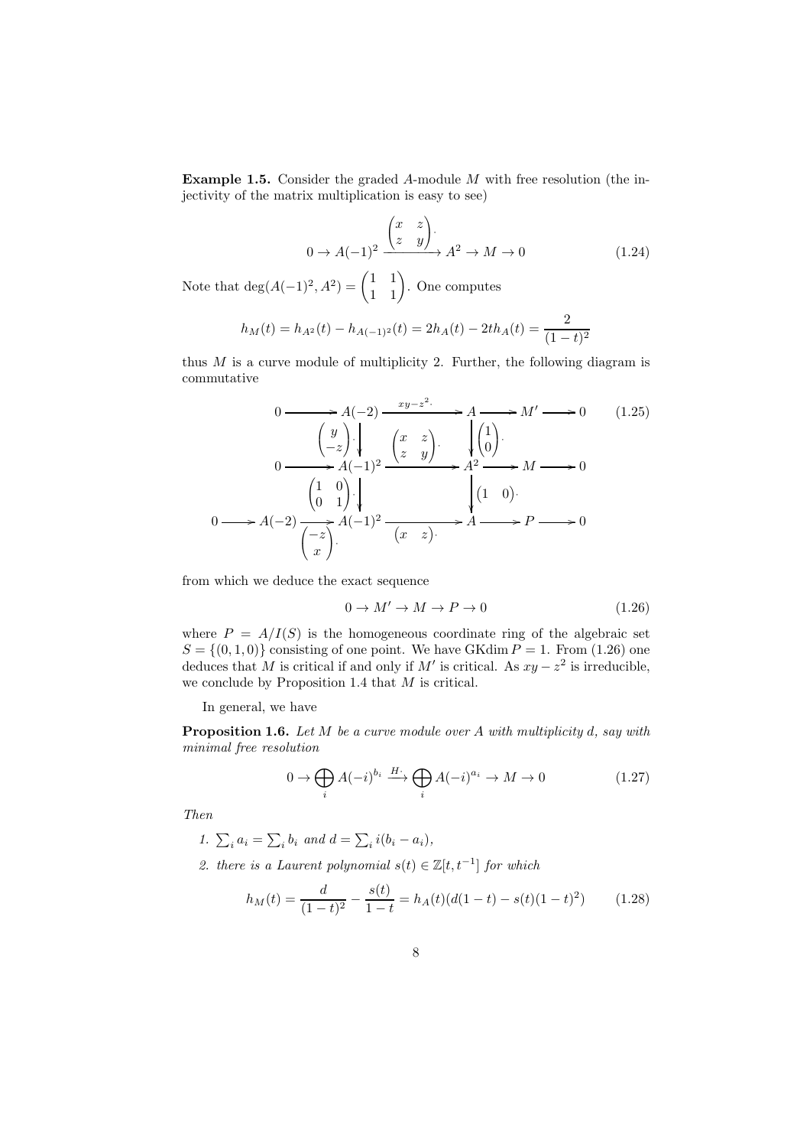Example 1.5. Consider the graded A-module M with free resolution (the injectivity of the matrix multiplication is easy to see)

$$
0 \to A(-1)^2 \xrightarrow{\begin{pmatrix} x & z \\ z & y \end{pmatrix}} A^2 \to M \to 0
$$
 (1.24)

Note that  $\deg(A(-1)^2, A^2) = \begin{pmatrix} 1 & 1 \\ 1 & 1 \end{pmatrix}$ . One computes

$$
h_M(t) = h_{A^2}(t) - h_{A(-1)^2}(t) = 2h_A(t) - 2th_A(t) = \frac{2}{(1-t)^2}
$$

thus  $M$  is a curve module of multiplicity 2. Further, the following diagram is commutative

$$
0 \longrightarrow A(-2) \xrightarrow{xy-z^2} A \longrightarrow M' \longrightarrow 0 \qquad (1.25)
$$
  
\n
$$
0 \longrightarrow A(-1)^2 \xrightarrow{\begin{pmatrix} x & z \\ z & y \end{pmatrix}} A^2 \longrightarrow M \longrightarrow 0 \qquad (1.25)
$$
  
\n
$$
0 \longrightarrow A(-1)^2 \xrightarrow{\begin{pmatrix} 1 & 0 \\ 0 & 1 \end{pmatrix}} A(-1)^2 \longrightarrow A^2 \longrightarrow M \longrightarrow 0
$$
  
\n
$$
0 \longrightarrow A(-2) \xrightarrow{\begin{pmatrix} -z \\ -z \end{pmatrix}} A(-1)^2 \xrightarrow{\begin{pmatrix} x & z \end{pmatrix}} A \longrightarrow A \longrightarrow P \longrightarrow 0
$$

from which we deduce the exact sequence

$$
0 \to M' \to M \to P \to 0 \tag{1.26}
$$

where  $P = A/I(S)$  is the homogeneous coordinate ring of the algebraic set  $S = \{(0, 1, 0)\}\)$  consisting of one point. We have GKdim  $P = 1$ . From (1.26) one deduces that M is critical if and only if M' is critical. As  $xy - z^2$  is irreducible, we conclude by Proposition 1.4 that  $M$  is critical.

In general, we have

**Proposition 1.6.** Let  $M$  be a curve module over  $A$  with multiplicity  $d$ , say with minimal free resolution

$$
0 \to \bigoplus_{i} A(-i)^{b_i} \xrightarrow{H^*} \bigoplus_{i} A(-i)^{a_i} \to M \to 0 \tag{1.27}
$$

Then

- 1.  $\sum_i a_i = \sum_i b_i$  and  $d = \sum_i i(b_i a_i)$ ,
- 2. there is a Laurent polynomial  $s(t) \in \mathbb{Z}[t, t^{-1}]$  for which

$$
h_M(t) = \frac{d}{(1-t)^2} - \frac{s(t)}{1-t} = h_A(t)(d(1-t) - s(t)(1-t)^2)
$$
(1.28)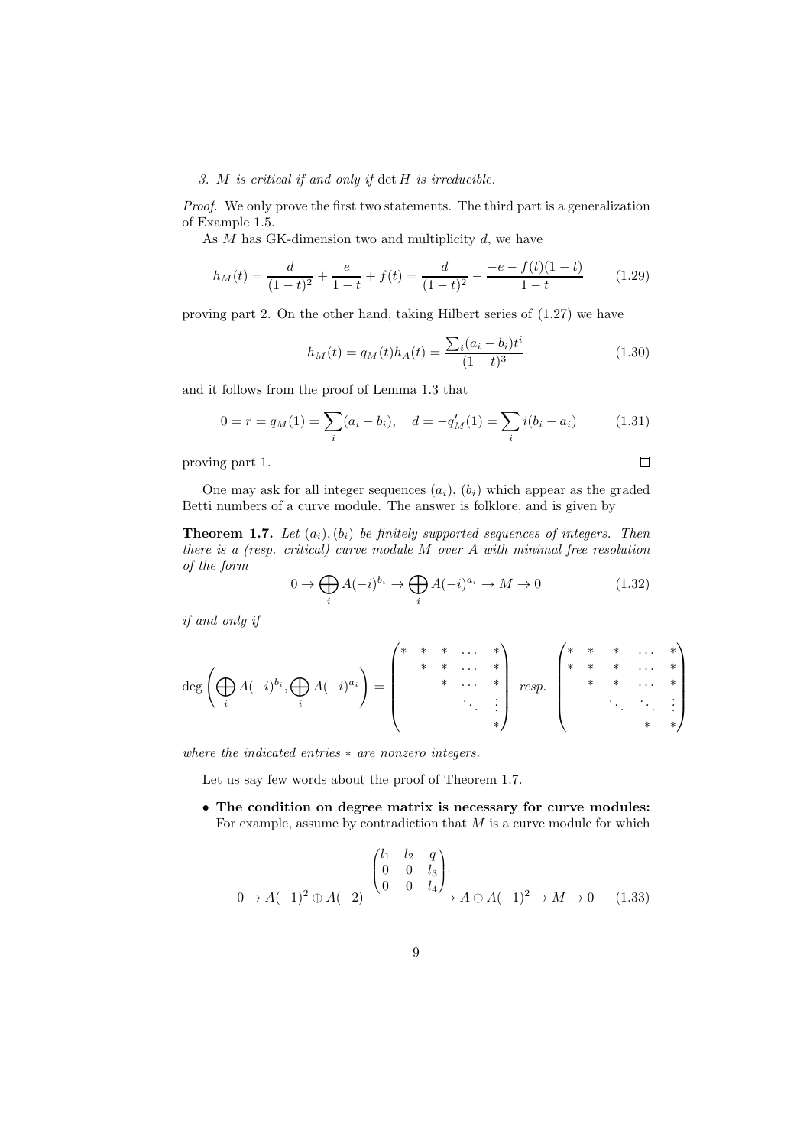#### 3. M is critical if and only if det H is irreducible.

Proof. We only prove the first two statements. The third part is a generalization of Example 1.5.

As  $M$  has GK-dimension two and multiplicity  $d$ , we have

$$
h_M(t) = \frac{d}{(1-t)^2} + \frac{e}{1-t} + f(t) = \frac{d}{(1-t)^2} - \frac{-e - f(t)(1-t)}{1-t}
$$
(1.29)

proving part 2. On the other hand, taking Hilbert series of (1.27) we have

$$
h_M(t) = q_M(t)h_A(t) = \frac{\sum_i (a_i - b_i)t^i}{(1 - t)^3}
$$
\n(1.30)

 $\Box$ 

and it follows from the proof of Lemma 1.3 that

$$
0 = r = q_M(1) = \sum_i (a_i - b_i), \quad d = -q'_M(1) = \sum_i i(b_i - a_i)
$$
 (1.31)

proving part 1.

One may ask for all integer sequences  $(a_i)$ ,  $(b_i)$  which appear as the graded Betti numbers of a curve module. The answer is folklore, and is given by

**Theorem 1.7.** Let  $(a_i)$ ,  $(b_i)$  be finitely supported sequences of integers. Then there is a (resp. critical) curve module M over A with minimal free resolution of the form

$$
0 \to \bigoplus_{i} A(-i)^{b_i} \to \bigoplus_{i} A(-i)^{a_i} \to M \to 0 \tag{1.32}
$$

if and only if

$$
\deg\left(\bigoplus_i A(-i)^{b_i},\bigoplus_i A(-i)^{a_i}\right)=\left(\begin{matrix}*&*&*&\dots&*\\&*&*&\dots&*\\&&*&*&\dots&*\\&&&*&\dots&*\\&&&\ddots&\vdots\\&&&*&*\end{matrix}\right)\; \; \underset{*}{resp.}\;\; \left(\begin{matrix}*&*&*&*&\dots&*\\&*&*&*&\dots&*\\&*&*&*\dots&*\\&&&*&*\end{matrix}\right)
$$

where the indicated entries  $*$  are nonzero integers.

Let us say few words about the proof of Theorem 1.7.

• The condition on degree matrix is necessary for curve modules: For example, assume by contradiction that  $M$  is a curve module for which

$$
0 \to A(-1)^2 \oplus A(-2) \xrightarrow{\begin{pmatrix} l_1 & l_2 & q \\ 0 & 0 & l_3 \\ 0 & 0 & l_4 \end{pmatrix}} A \oplus A(-1)^2 \to M \to 0 \quad (1.33)
$$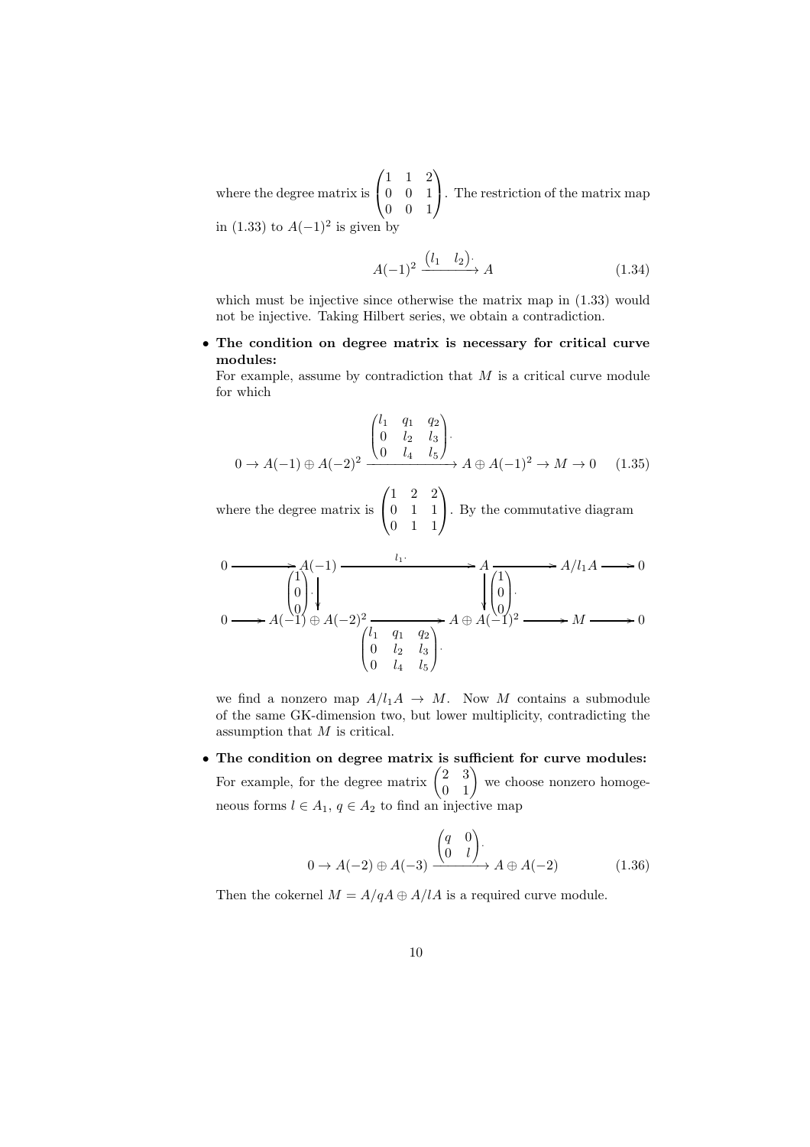where the degree matrix is  $\sqrt{ }$  $\mathcal{L}$ 1 1 2 0 0 1 0 0 1  $\setminus$ . The restriction of the matrix map in (1.33) to  $A(-1)^2$  is given by

$$
A(-1)^2 \xrightarrow{\left(l_1 \quad l_2\right)} A \tag{1.34}
$$

which must be injective since otherwise the matrix map in  $(1.33)$  would not be injective. Taking Hilbert series, we obtain a contradiction.

• The condition on degree matrix is necessary for critical curve modules:

For example, assume by contradiction that  $M$  is a critical curve module for which

$$
0 \to A(-1) \oplus A(-2)^2 \xrightarrow{\begin{pmatrix} l_1 & q_1 & q_2 \\ 0 & l_2 & l_3 \\ 0 & l_4 & l_5 \end{pmatrix}} A \oplus A(-1)^2 \to M \to 0 \quad (1.35)
$$

where the degree matrix is  $\sqrt{ }$  $\mathcal{L}$ 1 2 2 0 1 1 0 1 1  $\setminus$ . By the commutative diagram

$$
0 \longrightarrow A(-1) \longrightarrow A(-1) \longrightarrow A \longrightarrow A \longrightarrow A \longrightarrow B
$$
\n
$$
0 \longrightarrow A(-1) \oplus A(-2)^{2} \longrightarrow A \oplus A(-1)^{2} \longrightarrow A \oplus A(-1)^{2} \longrightarrow M \longrightarrow 0
$$
\n
$$
\begin{pmatrix} 1 & q_{1} & q_{2} \\ 0 & l_{2} & l_{3} \\ 0 & l_{4} & l_{5} \end{pmatrix}.
$$

we find a nonzero map  $A/l_1A \rightarrow M$ . Now M contains a submodule of the same GK-dimension two, but lower multiplicity, contradicting the assumption that M is critical.

• The condition on degree matrix is sufficient for curve modules: For example, for the degree matrix  $\begin{pmatrix} 2 & 3 \\ 0 & 1 \end{pmatrix}$  we choose nonzero homogeneous forms  $l \in A_1$ ,  $q \in A_2$  to find an injective map

$$
0 \to A(-2) \oplus A(-3) \xrightarrow{\begin{pmatrix} q & 0 \\ 0 & l \end{pmatrix}} A \oplus A(-2) \tag{1.36}
$$

Then the cokernel  $M = A/qA \oplus A/lA$  is a required curve module.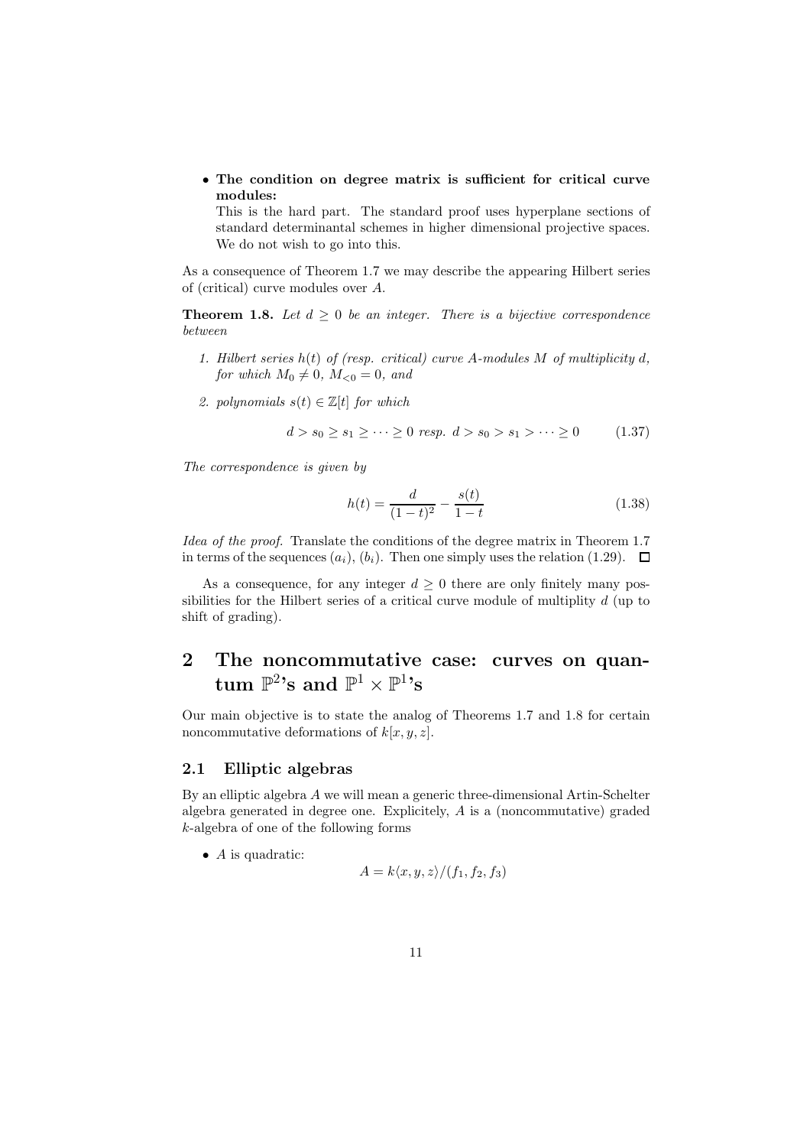• The condition on degree matrix is sufficient for critical curve modules:

This is the hard part. The standard proof uses hyperplane sections of standard determinantal schemes in higher dimensional projective spaces. We do not wish to go into this.

As a consequence of Theorem 1.7 we may describe the appearing Hilbert series of (critical) curve modules over A.

**Theorem 1.8.** Let  $d \geq 0$  be an integer. There is a bijective correspondence between

- 1. Hilbert series  $h(t)$  of (resp. critical) curve A-modules M of multiplicity d, for which  $M_0 \neq 0$ ,  $M_{\leq 0} = 0$ , and
- 2. polynomials  $s(t) \in \mathbb{Z}[t]$  for which

$$
d > s_0 \ge s_1 \ge \dots \ge 0 \text{ resp. } d > s_0 > s_1 > \dots \ge 0 \tag{1.37}
$$

The correspondence is given by

$$
h(t) = \frac{d}{(1-t)^2} - \frac{s(t)}{1-t}
$$
\n(1.38)

Idea of the proof. Translate the conditions of the degree matrix in Theorem 1.7 in terms of the sequences  $(a_i)$ ,  $(b_i)$ . Then one simply uses the relation (1.29).  $\Box$ 

As a consequence, for any integer  $d \geq 0$  there are only finitely many possibilities for the Hilbert series of a critical curve module of multiplity d (up to shift of grading).

# 2 The noncommutative case: curves on quan- ${\rm tum}\,\,\mathbb{P}^2$ 's and  $\mathbb{P}^1\times\mathbb{P}^1$ 's

Our main objective is to state the analog of Theorems 1.7 and 1.8 for certain noncommutative deformations of  $k[x, y, z]$ .

### 2.1 Elliptic algebras

By an elliptic algebra A we will mean a generic three-dimensional Artin-Schelter algebra generated in degree one. Explicitely, A is a (noncommutative) graded k-algebra of one of the following forms

 $\bullet$  A is quadratic:

$$
A = k \langle x, y, z \rangle / (f_1, f_2, f_3)
$$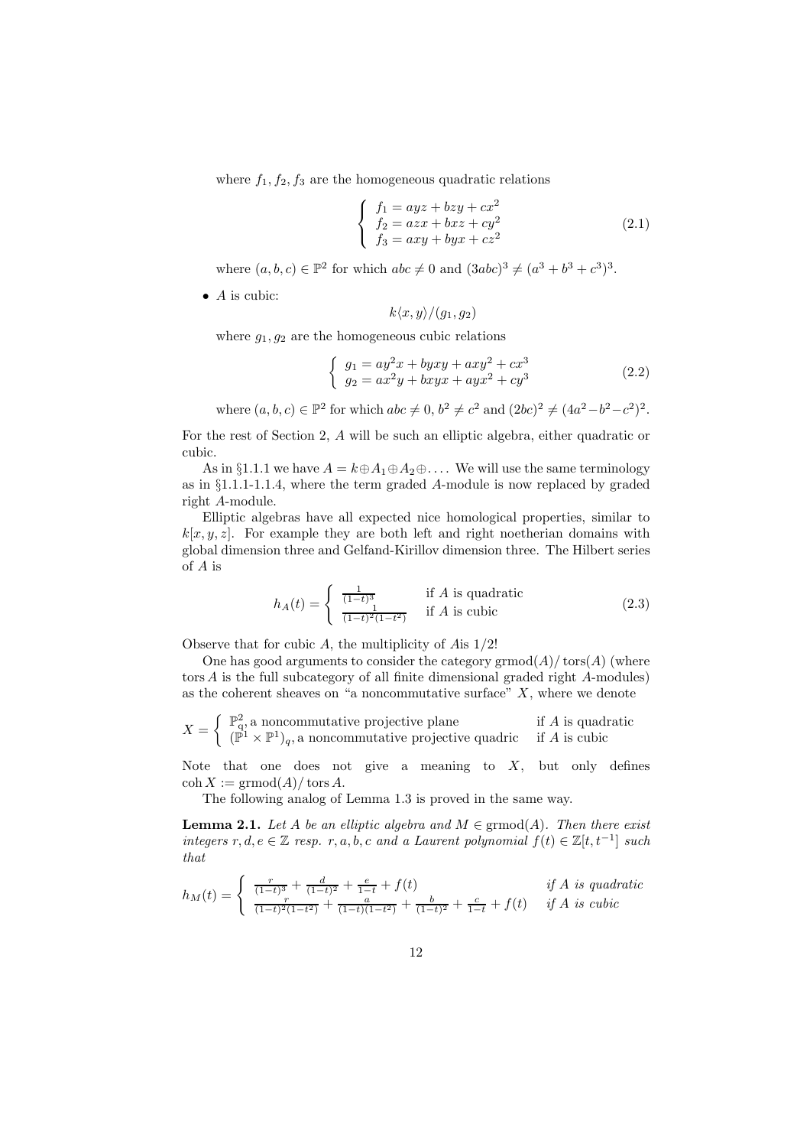where  $f_1, f_2, f_3$  are the homogeneous quadratic relations

$$
\begin{cases}\nf_1 = ayz + bzy + cx^2 \\
f_2 = azx + bxz + cy^2 \\
f_3 = axy + byx + cz^2\n\end{cases}
$$
\n(2.1)

where  $(a, b, c) \in \mathbb{P}^2$  for which  $abc \neq 0$  and  $(3abc)^3 \neq (a^3 + b^3 + c^3)^3$ .

 $\bullet$  *A* is cubic:

 $k\langle x, y\rangle/(g_1, g_2)$ 

where  $g_1, g_2$  are the homogeneous cubic relations

$$
\begin{cases}\n g_1 = ay^2x + byxy + axy^2 + cx^3 \\
 g_2 = ax^2y + bxyx + ayx^2 + cy^3\n\end{cases}
$$
\n(2.2)

where  $(a, b, c) \in \mathbb{P}^2$  for which  $abc \neq 0, b^2 \neq c^2$  and  $(2bc)^2 \neq (4a^2-b^2-c^2)^2$ .

For the rest of Section 2, A will be such an elliptic algebra, either quadratic or cubic.

As in §1.1.1 we have  $A = k \oplus A_1 \oplus A_2 \oplus \ldots$ . We will use the same terminology as in §1.1.1-1.1.4, where the term graded A-module is now replaced by graded right A-module.

Elliptic algebras have all expected nice homological properties, similar to  $k[x, y, z]$ . For example they are both left and right noetherian domains with global dimension three and Gelfand-Kirillov dimension three. The Hilbert series of A is

$$
h_A(t) = \begin{cases} \frac{1}{(1-t)^3} & \text{if } A \text{ is quadratic} \\ \frac{1}{(1-t)^2(1-t^2)} & \text{if } A \text{ is cubic} \end{cases}
$$
 (2.3)

Observe that for cubic A, the multiplicity of Ais 1/2!

One has good arguments to consider the category  $\mathrm{grmod}(A)/\mathrm{tors}(A)$  (where tors A is the full subcategory of all finite dimensional graded right A-modules) as the coherent sheaves on "a noncommutative surface"  $X$ , where we denote

$$
X = \begin{cases} \mathbb{P}_{q}^{2}, \text{ a noncommutative projective plane} \\ (\mathbb{P}^{1} \times \mathbb{P}^{1})_{q}, \text{ a noncommutative projective quadric} \end{cases} \text{ if } A \text{ is cubic}
$$

Note that one does not give a meaning to  $X$ , but only defines  $\cosh X := \mathrm{grmod}(A)/\mathrm{tors}\,A.$ 

The following analog of Lemma 1.3 is proved in the same way.

**Lemma 2.1.** Let A be an elliptic algebra and  $M \in \mathrm{grmod}(A)$ . Then there exist integers r, d, e  $\in \mathbb{Z}$  resp. r, a, b, c and a Laurent polynomial  $f(t) \in \mathbb{Z}[t, t^{-1}]$  such that

$$
h_M(t) = \begin{cases} \frac{r}{(1-t)^3} + \frac{d}{(1-t)^2} + \frac{e}{1-t} + f(t) & \text{if } A \text{ is quadratic} \\ \frac{r}{(1-t)^2(1-t^2)} + \frac{a}{(1-t)(1-t^2)} + \frac{b}{(1-t)^2} + \frac{c}{1-t} + f(t) & \text{if } A \text{ is cubic} \end{cases}
$$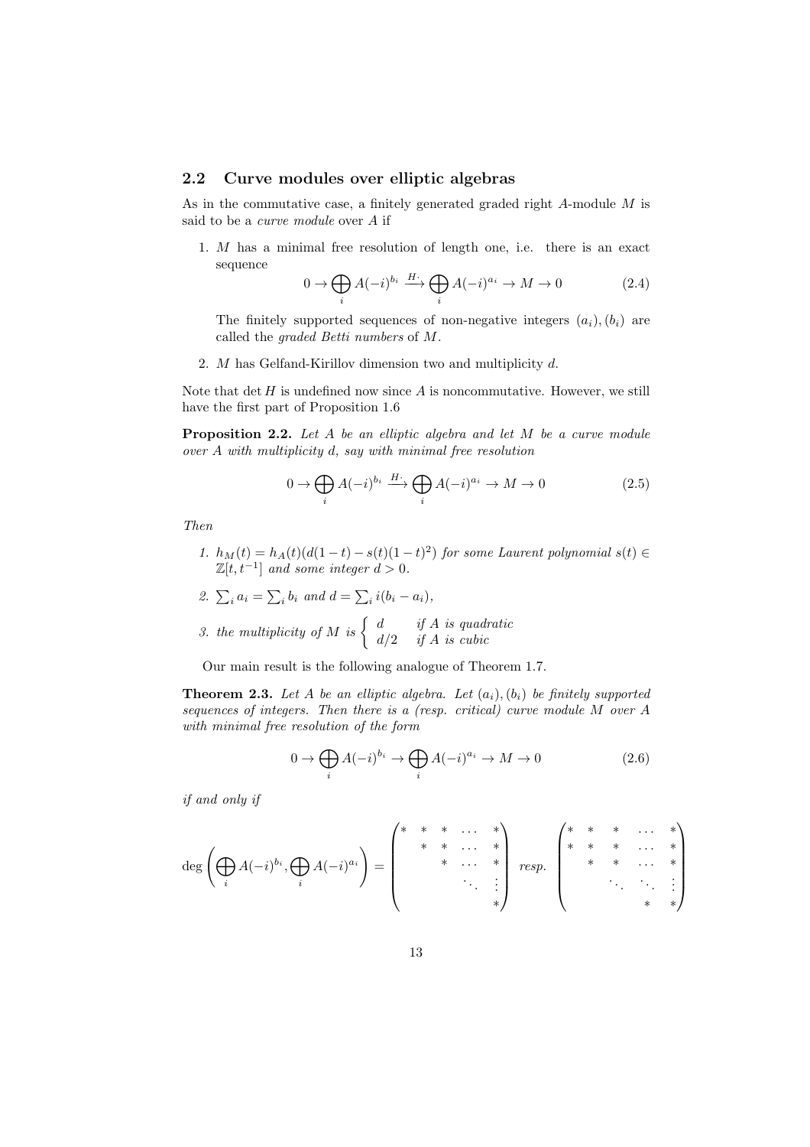### 2.2 Curve modules over elliptic algebras

As in the commutative case, a finitely generated graded right A-module M is said to be a curve module over A if

1. M has a minimal free resolution of length one, i.e. there is an exact sequence

$$
0 \to \bigoplus_{i} A(-i)^{b_i} \xrightarrow{H^*} \bigoplus_{i} A(-i)^{a_i} \to M \to 0 \tag{2.4}
$$

The finitely supported sequences of non-negative integers  $(a_i)$ ,  $(b_i)$  are called the graded Betti numbers of M.

2. M has Gelfand-Kirillov dimension two and multiplicity d.

Note that  $\det H$  is undefined now since  $A$  is noncommutative. However, we still have the first part of Proposition 1.6

Proposition 2.2. Let A be an elliptic algebra and let M be a curve module over A with multiplicity d, say with minimal free resolution

$$
0 \to \bigoplus_{i} A(-i)^{b_i} \xrightarrow{H^*} \bigoplus_{i} A(-i)^{a_i} \to M \to 0
$$
 (2.5)

Then

- 1.  $h_M(t) = h_A(t)(d(1-t) s(t)(1-t)^2)$  for some Laurent polynomial  $s(t) \in$  $\mathbb{Z}[t, t^{-1}]$  and some integer  $d > 0$ .
- 2.  $\sum_i a_i = \sum_i b_i$  and  $d = \sum_i i(b_i a_i)$ , 3. the multiplicity of M is  $\begin{cases} d & \text{if } A \text{ is quadratic} \\ d/2 & \text{if } A \text{ is cubic} \end{cases}$  $d/2$  if A is cubic

Our main result is the following analogue of Theorem 1.7.

**Theorem 2.3.** Let A be an elliptic algebra. Let  $(a_i)$ ,  $(b_i)$  be finitely supported sequences of integers. Then there is a (resp. critical) curve module M over A with minimal free resolution of the form

$$
0 \to \bigoplus_{i} A(-i)^{b_i} \to \bigoplus_{i} A(-i)^{a_i} \to M \to 0
$$
 (2.6)

if and only if

$$
\deg\left(\bigoplus_{i} A(-i)^{b_{i}}, \bigoplus_{i} A(-i)^{a_{i}}\right) = \left(\begin{matrix} * & * & * & \dots & * \\ & * & * & \dots & * \\ & & * & \dots & * \\ & & & \ddots & \vdots \\ & & & & * \end{matrix}\right) \; resp. \; \left(\begin{matrix} * & * & * & \dots & * \\ * & * & * & \dots & * \\ & & * & * & \dots & * \\ & & & & & \vdots \\ & & & & & \ddots & \vdots \\ & & & & & * \end{matrix}\right)
$$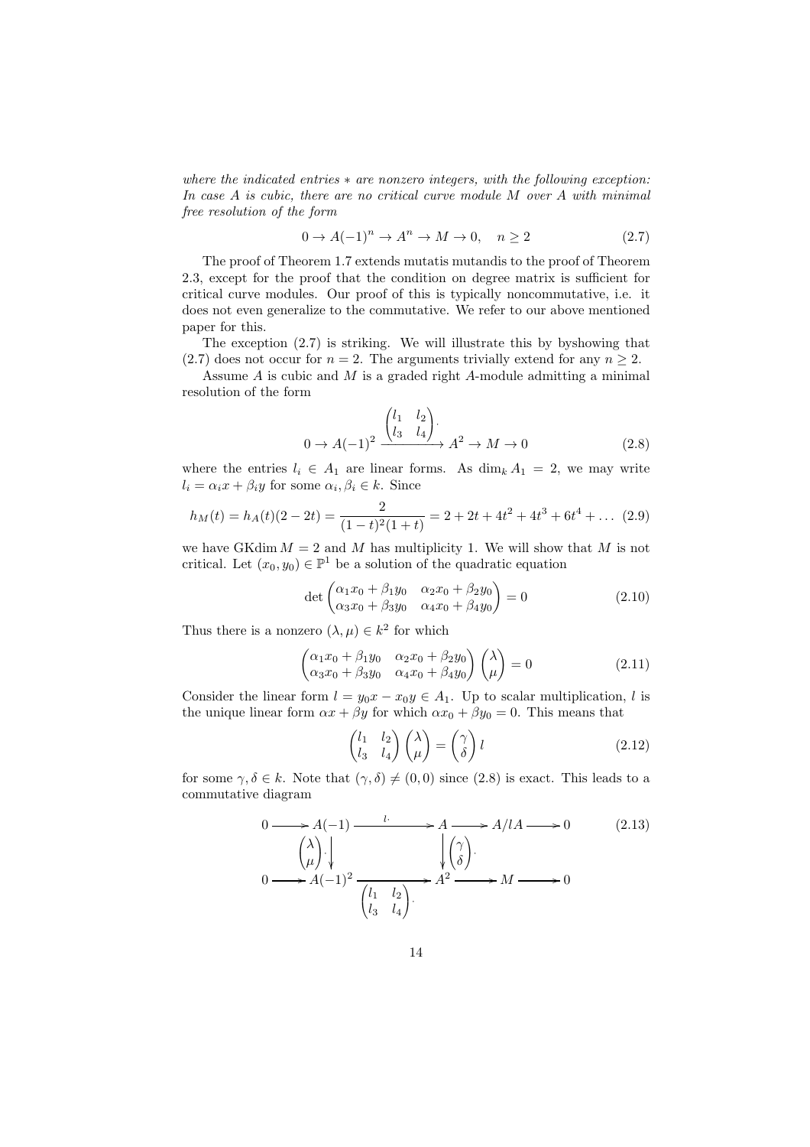where the indicated entries  $*$  are nonzero integers, with the following exception: In case A is cubic, there are no critical curve module M over A with minimal free resolution of the form

$$
0 \to A(-1)^n \to A^n \to M \to 0, \quad n \ge 2 \tag{2.7}
$$

The proof of Theorem 1.7 extends mutatis mutandis to the proof of Theorem 2.3, except for the proof that the condition on degree matrix is sufficient for critical curve modules. Our proof of this is typically noncommutative, i.e. it does not even generalize to the commutative. We refer to our above mentioned paper for this.

The exception (2.7) is striking. We will illustrate this by byshowing that (2.7) does not occur for  $n = 2$ . The arguments trivially extend for any  $n \ge 2$ .

Assume  $A$  is cubic and  $M$  is a graded right  $A$ -module admitting a minimal resolution of the form

$$
0 \to A(-1)^2 \xrightarrow{\begin{pmatrix} l_1 & l_2 \\ l_3 & l_4 \end{pmatrix}} A^2 \to M \to 0
$$
 (2.8)

where the entries  $l_i \in A_1$  are linear forms. As  $\dim_k A_1 = 2$ , we may write  $l_i = \alpha_i x + \beta_i y$  for some  $\alpha_i, \beta_i \in k$ . Since

$$
h_M(t) = h_A(t)(2 - 2t) = \frac{2}{(1 - t)^2(1 + t)} = 2 + 2t + 4t^2 + 4t^3 + 6t^4 + \dots (2.9)
$$

we have GKdim  $M = 2$  and M has multiplicity 1. We will show that M is not critical. Let  $(x_0, y_0) \in \mathbb{P}^1$  be a solution of the quadratic equation

$$
\det \begin{pmatrix} \alpha_1 x_0 + \beta_1 y_0 & \alpha_2 x_0 + \beta_2 y_0 \\ \alpha_3 x_0 + \beta_3 y_0 & \alpha_4 x_0 + \beta_4 y_0 \end{pmatrix} = 0
$$
\n(2.10)

Thus there is a nonzero  $(\lambda, \mu) \in k^2$  for which

$$
\begin{pmatrix}\n\alpha_1 x_0 + \beta_1 y_0 & \alpha_2 x_0 + \beta_2 y_0 \\
\alpha_3 x_0 + \beta_3 y_0 & \alpha_4 x_0 + \beta_4 y_0\n\end{pmatrix}\n\begin{pmatrix}\n\lambda \\
\mu\n\end{pmatrix} = 0
$$
\n(2.11)

Consider the linear form  $l = y_0x - x_0y \in A_1$ . Up to scalar multiplication, l is the unique linear form  $\alpha x + \beta y$  for which  $\alpha x_0 + \beta y_0 = 0$ . This means that

$$
\begin{pmatrix} l_1 & l_2 \\ l_3 & l_4 \end{pmatrix} \begin{pmatrix} \lambda \\ \mu \end{pmatrix} = \begin{pmatrix} \gamma \\ \delta \end{pmatrix} l \tag{2.12}
$$

for some  $\gamma, \delta \in k$ . Note that  $(\gamma, \delta) \neq (0, 0)$  since  $(2.8)$  is exact. This leads to a commutative diagram

$$
0 \longrightarrow A(-1) \longrightarrow A \longrightarrow A/lA \longrightarrow 0 \tag{2.13}
$$
  
\n
$$
\begin{pmatrix} \lambda \\ \mu \end{pmatrix} \downarrow \qquad \qquad \begin{cases} \gamma \\ \lambda \end{pmatrix} \longrightarrow A/(lA \longrightarrow 0 \tag{2.13}
$$
  
\n
$$
0 \longrightarrow A(-1)^2 \frac{1}{\begin{pmatrix} l_1 & l_2 \\ l_3 & l_4 \end{pmatrix}} \longrightarrow A^2 \longrightarrow M \longrightarrow 0
$$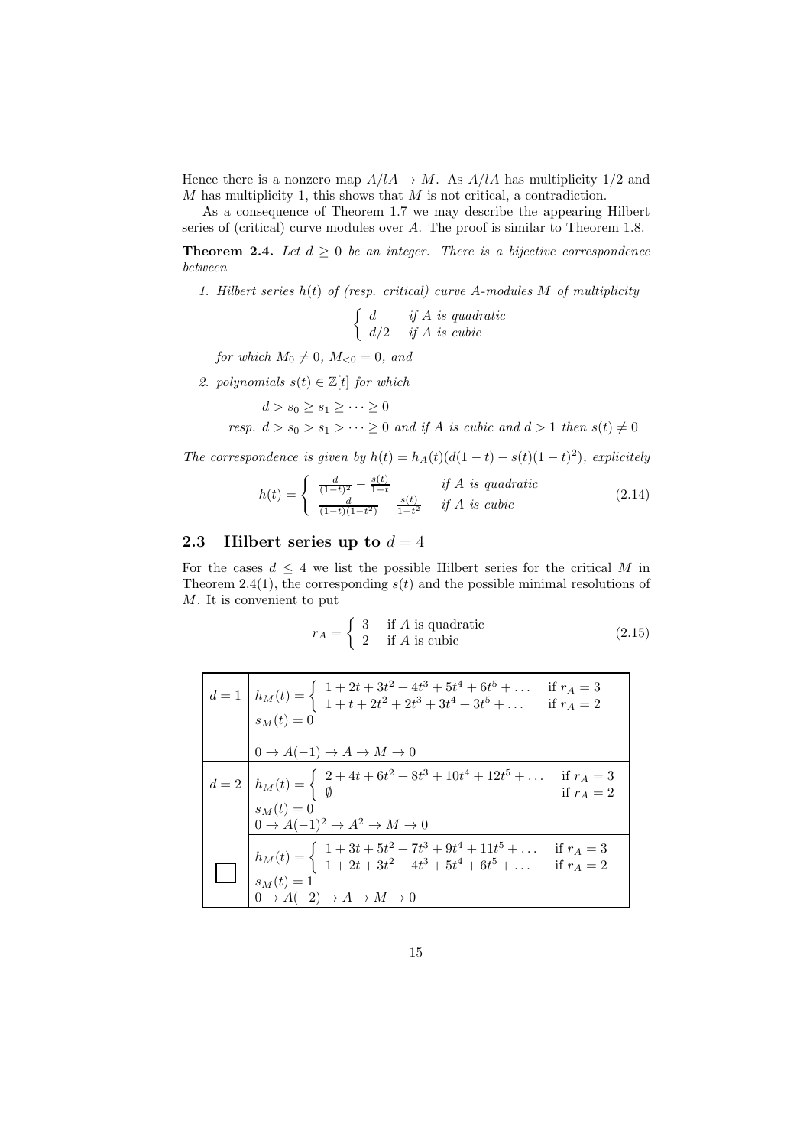Hence there is a nonzero map  $A/IA \to M$ . As  $A/IA$  has multiplicity 1/2 and  $M$  has multiplicity 1, this shows that  $M$  is not critical, a contradiction.

As a consequence of Theorem 1.7 we may describe the appearing Hilbert series of (critical) curve modules over A. The proof is similar to Theorem 1.8.

**Theorem 2.4.** Let  $d \geq 0$  be an integer. There is a bijective correspondence between

1. Hilbert series  $h(t)$  of (resp. critical) curve A-modules M of multiplicity

 $\int d$  if A is quadratic  $d/2$  if A is cubic

for which  $M_0 \neq 0$ ,  $M_{\leq 0} = 0$ , and

2. polynomials  $s(t) \in \mathbb{Z}[t]$  for which

$$
d > s_0 \ge s_1 \ge \dots \ge 0
$$
  
resp.  $d > s_0 > s_1 > \dots \ge 0$  and if A is cubic and  $d > 1$  then  $s(t) \ne 0$ 

The correspondence is given by  $h(t) = h_A(t)(d(1-t) - s(t)(1-t)^2)$ , explicitely

$$
h(t) = \begin{cases} \frac{d}{(1-t)^2} - \frac{s(t)}{1-t} & \text{if } A \text{ is quadratic} \\ \frac{d}{(1-t)(1-t^2)} - \frac{s(t)}{1-t^2} & \text{if } A \text{ is cubic} \end{cases}
$$
(2.14)

#### 2.3 Hilbert series up to  $d = 4$

For the cases  $d \leq 4$  we list the possible Hilbert series for the critical M in Theorem 2.4(1), the corresponding  $s(t)$  and the possible minimal resolutions of M. It is convenient to put

$$
r_A = \begin{cases} 3 & \text{if } A \text{ is quadratic} \\ 2 & \text{if } A \text{ is cubic} \end{cases}
$$
 (2.15)

| $d = 1$ $h_M(t) = \begin{cases} 1 + 2t + 3t^2 + 4t^3 + 5t^4 + 6t^5 + \dots & \text{if } r_A = 3 \\ 1 + t + 2t^2 + 2t^3 + 3t^4 + 3t^5 + \dots & \text{if } r_A = 2 \end{cases}$<br>$s_M(t) = 0$                                                          |
|---------------------------------------------------------------------------------------------------------------------------------------------------------------------------------------------------------------------------------------------------------|
| $0 \to A(-1) \to A \to M \to 0$                                                                                                                                                                                                                         |
| $d = 2$ $h_M(t) = \begin{cases} 2 + 4t + 6t^2 + 8t^3 + 10t^4 + 12t^5 + \dots & \text{if } r_A = 3 \\ 6 + 10t^4 + 12t^5 + \dots & \text{if } r_A = 2 \\ s_M(t) = 0 & \end{cases}$<br>$0 \rightarrow A(-1)^2 \rightarrow A^2 \rightarrow M \rightarrow 0$ |
| $h_M(t) = \begin{cases} 1 + 3t + 5t^2 + 7t^3 + 9t^4 + 11t^5 + \dots \\ 1 + 2t + 3t^2 + 4t^3 + 5t^4 + 6t^5 + \dots \end{cases}$<br>$s_M(t) = 1$<br>if $r_A = 3$<br>if $r_A = 2$<br>$0 \rightarrow A(-2) \rightarrow A \rightarrow M \rightarrow 0$       |